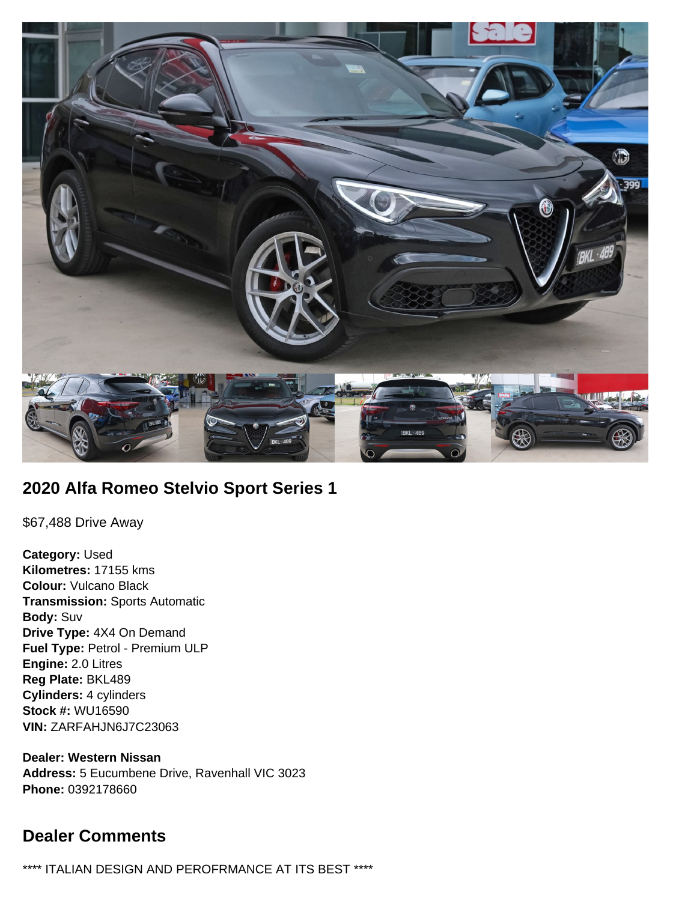

# **2020 Alfa Romeo Stelvio Sport Series 1**

\$67,488 Drive Away

**Category:** Used **Kilometres:** 17155 kms **Colour:** Vulcano Black **Transmission:** Sports Automatic **Body:** Suv **Drive Type:** 4X4 On Demand **Fuel Type:** Petrol - Premium ULP **Engine:** 2.0 Litres **Reg Plate:** BKL489 **Cylinders:** 4 cylinders **Stock #:** WU16590 **VIN:** ZARFAHJN6J7C23063

**Dealer: Western Nissan Address:** 5 Eucumbene Drive, Ravenhall VIC 3023 **Phone:** 0392178660

# **Dealer Comments**

\*\*\*\* ITALIAN DESIGN AND PEROFRMANCE AT ITS BEST \*\*\*\*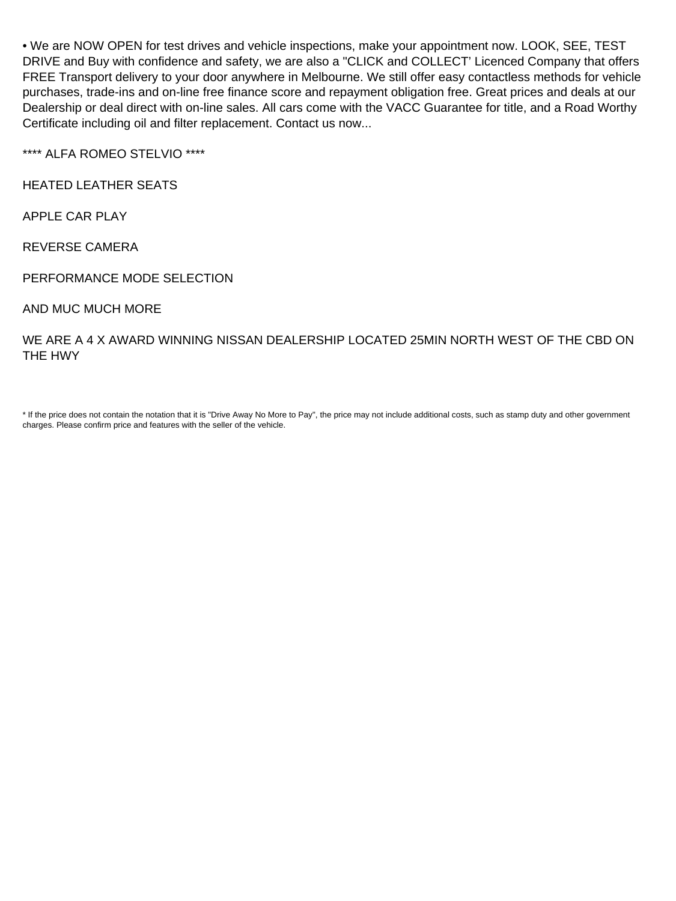• We are NOW OPEN for test drives and vehicle inspections, make your appointment now. LOOK, SEE, TEST DRIVE and Buy with confidence and safety, we are also a "CLICK and COLLECT' Licenced Company that offers FREE Transport delivery to your door anywhere in Melbourne. We still offer easy contactless methods for vehicle purchases, trade-ins and on-line free finance score and repayment obligation free. Great prices and deals at our Dealership or deal direct with on-line sales. All cars come with the VACC Guarantee for title, and a Road Worthy Certificate including oil and filter replacement. Contact us now...

\*\*\*\* ALFA ROMEO STELVIO \*\*\*\*

HEATED LEATHER SEATS

APPLE CAR PLAY

REVERSE CAMERA

PERFORMANCE MODE SELECTION

AND MUC MUCH MORE

WE ARE A 4 X AWARD WINNING NISSAN DEALERSHIP LOCATED 25MIN NORTH WEST OF THE CBD ON THE HWY

\* If the price does not contain the notation that it is "Drive Away No More to Pay", the price may not include additional costs, such as stamp duty and other government charges. Please confirm price and features with the seller of the vehicle.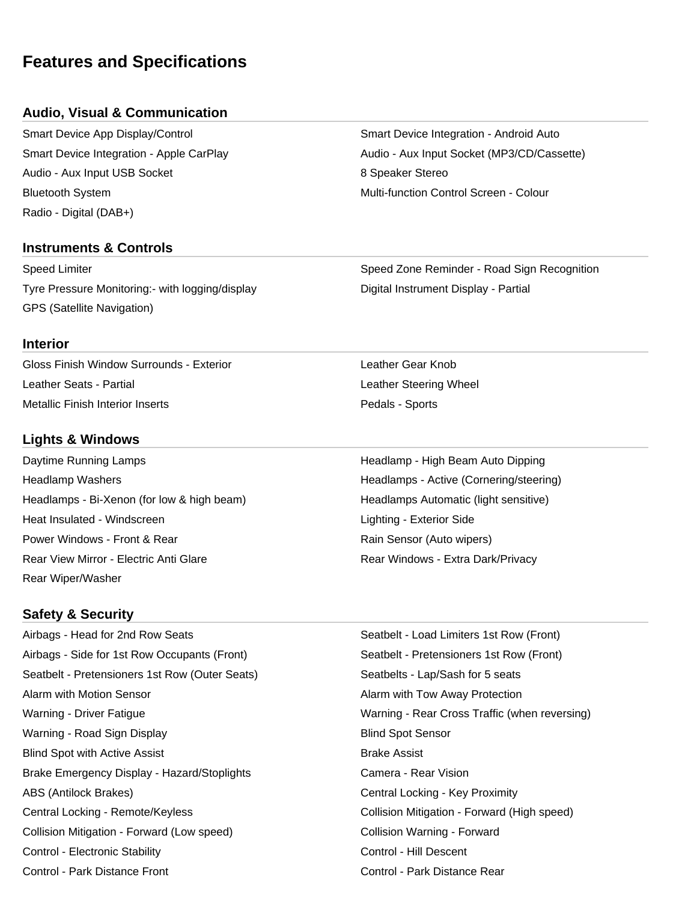# **Features and Specifications**

## **Audio, Visual & Communication**

Smart Device App Display/Control Smart Device Integration - Android Auto Audio - Aux Input USB Socket 8 Speaker Stereo Bluetooth System Multi-function Control Screen - Colour Radio - Digital (DAB+)

## **Instruments & Controls**

Tyre Pressure Monitoring:- with logging/display North Controllery Digital Instrument Display - Partial GPS (Satellite Navigation)

Smart Device Integration - Apple CarPlay **Audio - Aux Input Socket (MP3/CD/Cassette)** 

Speed Limiter Speed Zone Reminder - Road Sign Recognition

#### **Interior**

Gloss Finish Window Surrounds - Exterior Leather Gear Knob Leather Seats - Partial Leather Steering Wheel Metallic Finish Interior Inserts **Pedals - Sports** Pedals - Sports

## **Lights & Windows**

Headlamp Washers **Headlamps - Active (Cornering/steering)** Headlamps - Active (Cornering/steering) Headlamps - Bi-Xenon (for low & high beam) Headlamps Automatic (light sensitive) Heat Insulated - Windscreen Lighting - Exterior Side Lighting - Exterior Side Power Windows - Front & Rear Rain Sensor (Auto wipers) Rear View Mirror - Electric Anti Glare **Rear Windows - Extra Dark/Privacy** Rear Wiper/Washer

# **Safety & Security**

Airbags - Head for 2nd Row Seats Seatbelt - Load Limiters 1st Row (Front) Airbags - Side for 1st Row Occupants (Front) Seatbelt - Pretensioners 1st Row (Front) Seatbelt - Pretensioners 1st Row (Outer Seats) Seatbelts - Lap/Sash for 5 seats Alarm with Motion Sensor Alarm with Tow Away Protection Warning - Driver Fatigue Warning - Rear Cross Traffic (when reversing) Warning - Road Sign Display Blind Spot Sensor Blind Spot with Active Assist **Brake Assist** Brake Assist Brake Emergency Display - Hazard/Stoplights **Camera - Rear Vision** ABS (Antilock Brakes) The Contral Locking - Key Proximity Central Locking - Remote/Keyless Collision Mitigation - Forward (High speed) Collision Mitigation - Forward (Low speed) Collision Warning - Forward Control - Electronic Stability Control - Hill Descent Control - Park Distance Front Control - Park Distance Rear

Daytime Running Lamps **Headlamp - High Beam Auto Dipping** High Beam Auto Dipping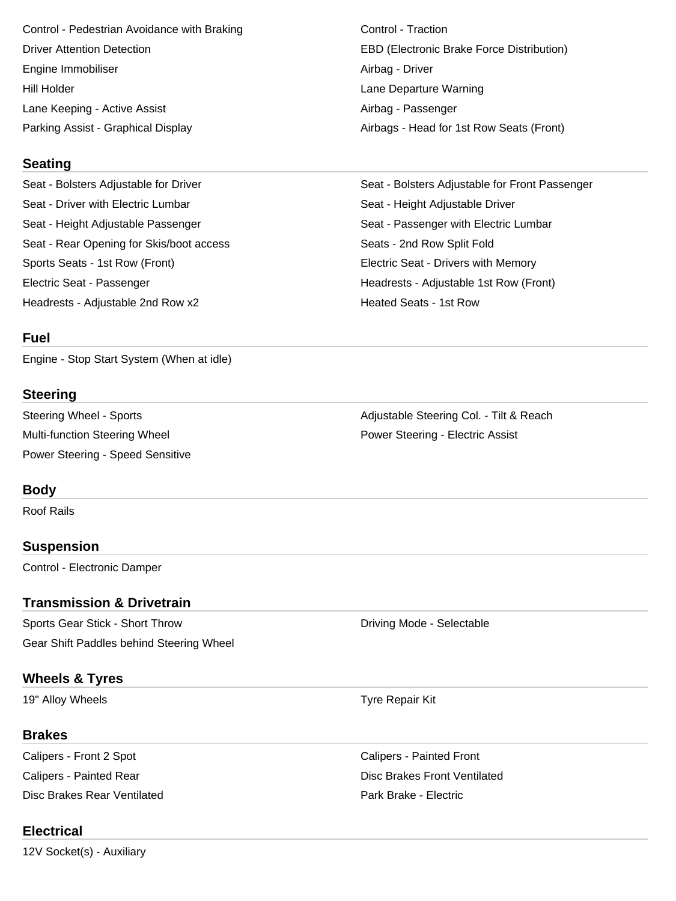Control - Pedestrian Avoidance with Braking Control - Traction Driver Attention Detection EBD (Electronic Brake Force Distribution) Engine Immobiliser **Airbag - Driver** Airbag - Driver Hill Holder Lane Departure Warning Lane Keeping - Active Assist Airbag - Passenger

Parking Assist - Graphical Display And Airbags - Head for 1st Row Seats (Front)

#### **Seating**

Seat - Bolsters Adjustable for Driver Seat - Bolsters Adjustable for Front Passenger Seat - Driver with Electric Lumbar Seat - Height Adjustable Driver Seat - Height Adjustable Passenger Seat - Passenger with Electric Lumbar Seat - Rear Opening for Skis/boot access Seats - 2nd Row Split Fold Sports Seats - 1st Row (Front) Electric Seat - Drivers with Memory Electric Seat - Passenger Headrests - Adjustable 1st Row (Front)

#### **Fuel**

Engine - Stop Start System (When at idle)

#### **Steering**

Multi-function Steering Wheel **Power Steering - Electric Assist** Power Steering - Speed Sensitive

#### **Body**

Roof Rails

#### **Suspension**

Control - Electronic Damper

#### **Transmission & Drivetrain**

Sports Gear Stick - Short Throw **Driving Mode - Selectable** Gear Shift Paddles behind Steering Wheel

## **Wheels & Tyres**

19" Alloy Wheels **Tyre Repair Kit** 

### **Brakes**

Calipers - Front 2 Spot Calipers - Painted Front Disc Brakes Rear Ventilated Park Brake - Electric

# **Electrical**

12V Socket(s) - Auxiliary

Headrests - Adjustable 2nd Row x2 **Heated Seats - 1st Row** 

Steering Wheel - Sports **Adjustable Steering Col.** - Tilt & Reach

Calipers - Painted Rear **Disc Brakes Front Ventilated** Calipers - Painted Rear Disc Brakes Front Ventilated